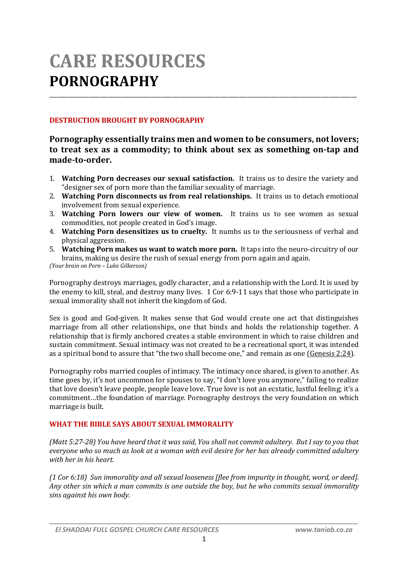# **CARE RESOURCES PORNOGRAPHY**

### **DESTRUCTION BROUGHT BY PORNOGRAPHY**

## **Pornography essentially trains men and women to be consumers, not lovers; to treat sex as a commodity; to think about sex as something on-tap and made-to-order.**

\_\_\_\_\_\_\_\_\_\_\_\_\_\_\_\_\_\_\_\_\_\_\_\_\_\_\_\_\_\_\_\_\_\_\_\_\_\_\_\_\_\_\_\_\_\_\_\_\_\_\_\_\_\_\_\_\_\_\_\_\_\_\_\_\_\_\_\_\_\_\_\_\_\_\_\_\_\_\_\_\_\_\_\_\_\_\_\_\_\_\_\_\_\_\_\_\_\_\_\_\_\_\_\_\_\_\_\_\_\_

- 1. **Watching Porn decreases our sexual satisfaction.** It trains us to desire the variety and "designer sex of porn more than the familiar sexuality of marriage.
- 2. **Watching Porn disconnects us from real relationships.** It trains us to detach emotional involvement from sexual experience.
- 3. **Watching Porn lowers our view of women.** It trains us to see women as sexual commodities, not people created in God's image.
- 4. **Watching Porn desensitizes us to cruelty.** It numbs us to the seriousness of verbal and physical aggression.
- 5. **Watching Porn makes us want to watch more porn.** It taps into the neuro-circuitry of our brains, making us desire the rush of sexual energy from porn again and again. *(Your brain on Porn – Luke Gilkerson)*

Pornography destroys marriages, godly character, and a relationship with the Lord. It is used by the enemy to kill, steal, and destroy many lives. 1 Cor 6:9-11 says that those who participate in sexual immorality shall not inherit the kingdom of God.

Sex is good and God-given. It makes sense that God would create one act that distinguishes marriage from all other relationships, one that binds and holds the relationship together. A relationship that is firmly anchored creates a stable environment in which to raise children and sustain commitment. Sexual intimacy was not created to be a recreational sport, it was intended as a spiritual bond to assure that "the two shall become one," and remain as one (Genesis 2:24).

Pornography robs married couples of intimacy. The intimacy once shared, is given to another. As time goes by, it's not uncommon for spouses to say, "I don't love you anymore," failing to realize that love doesn't leave people, people leave love. True love is not an ecstatic, lustful feeling; it's a commitment…the foundation of marriage. Pornography destroys the very foundation on which marriage is built.

#### **WHAT THE BIBLE SAYS ABOUT SEXUAL IMMORALITY**

*(Matt 5:27-28) You have heard that it was said, You shall not commit adultery. But I say to you that everyone who so much as look at a woman with evil desire for her has already committed adultery with her in his heart.*

*(1 Cor 6:18) Sun immorality and all sexual looseness [flee from impurity in thought, word, or deed]. Any other sin which a man commits is one outside the boy, but he who commits sexual immorality sins against his own body.*

*\_\_\_\_\_\_\_\_\_\_\_\_\_\_\_\_\_\_\_\_\_\_\_\_\_\_\_\_\_\_\_\_\_\_\_\_\_\_\_\_\_\_\_\_\_\_\_\_\_\_\_\_\_\_\_\_\_\_\_\_\_\_\_\_\_\_\_\_\_\_\_\_\_\_\_\_\_\_\_\_\_\_*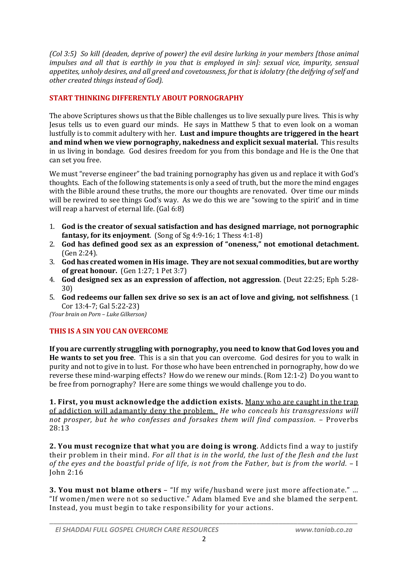*(Col 3:5) So kill (deaden, deprive of power) the evil desire lurking in your members [those animal impulses and all that is earthly in you that is employed in sin]: sexual vice, impurity, sensual appetites, unholy desires, and all greed and covetousness, for that is idolatry (the deifying of self and other created things instead of God).*

## **START THINKING DIFFERENTLY ABOUT PORNOGRAPHY**

The above Scriptures shows us that the Bible challenges us to live sexually pure lives. This is why Jesus tells us to even guard our minds. He says in Matthew 5 that to even look on a woman lustfully is to commit adultery with her. **Lust and impure thoughts are triggered in the heart and mind when we view pornography, nakedness and explicit sexual material.** This results in us living in bondage. God desires freedom for you from this bondage and He is the One that can set you free.

We must "reverse engineer" the bad training pornography has given us and replace it with God's thoughts. Each of the following statements is only a seed of truth, but the more the mind engages with the Bible around these truths, the more our thoughts are renovated. Over time our minds will be rewired to see things God's way. As we do this we are "sowing to the spirit' and in time will reap a harvest of eternal life. (Gal 6:8)

- 1. **God is the creator of sexual satisfaction and has designed marriage, not pornographic fantasy, for its enjoyment**. (Song of Sg 4:9-16; 1 Thess 4:1-8)
- 2. **God has defined good sex as an expression of "oneness," not emotional detachment.** (Gen 2:24).
- 3. **God has created women in His image. They are not sexual commodities, but are worthy of great honour.** (Gen 1:27; 1 Pet 3:7)
- 4. **God designed sex as an expression of affection, not aggression**. (Deut 22:25; Eph 5:28- 30)
- 5. **God redeems our fallen sex drive so sex is an act of love and giving, not selfishness**. (1 Cor 13:4-7; Gal 5:22-23)

*(Your brain on Porn – Luke Gilkerson)*

## **THIS IS A SIN YOU CAN OVERCOME**

**If you are currently struggling with pornography, you need to know that God loves you and He wants to set you free**. This is a sin that you can overcome. God desires for you to walk in purity and not to give in to lust. For those who have been entrenched in pornography, how do we reverse these mind-warping effects? How do we renew our minds. (Rom 12:1-2) Do you want to be free from pornography? Here are some things we would challenge you to do.

**1. First, you must acknowledge the addiction exists.** Many who are caught in the trap of addiction will adamantly deny the problem. *He who conceals his transgressions will not prosper, but he who confesses and forsakes them will find compassion.* – Proverbs 28:13

**2. You must recognize that what you are doing is wrong**. Addicts find a way to justify their problem in their mind. *For all that is in the world, the lust of the flesh and the lust of the eyes and the boastful pride of life, is not from the Father, but is from the world.* – I John 2:16

**3. You must not blame others** – "If my wife/husband were just more affectionate." … "If women/men were not so seductive." Adam blamed Eve and she blamed the serpent. Instead, you must begin to take responsibility for your actions.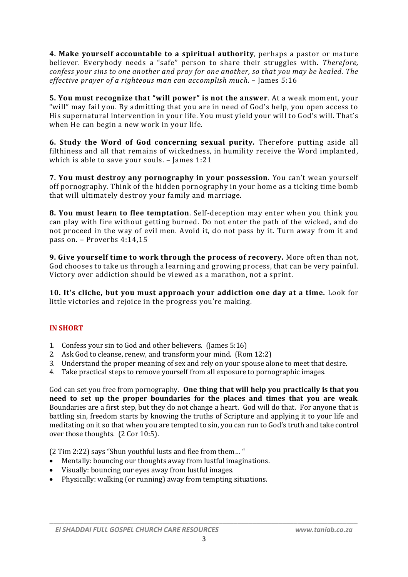**4. Make yourself accountable to a spiritual authority**, perhaps a pastor or mature believer. Everybody needs a "safe" person to share their struggles with. *Therefore, confess your sins to one another and pray for one another, so that you may be healed. The effective prayer of a righteous man can accomplish much.* – James 5:16

**5. You must recognize that "will power" is not the answer**. At a weak moment, your "will" may fail you. By admitting that you are in need of God's help, you open access to His supernatural intervention in your life. You must yield your will to God's will. That's when He can begin a new work in your life.

**6. Study the Word of God concerning sexual purity.** Therefore putting aside all filthiness and all that remains of wickedness, in humility receive the Word implanted, which is able to save your souls. – James 1:21

**7. You must destroy any pornography in your possession**. You can't wean yourself off pornography. Think of the hidden pornography in your home as a ticking time bomb that will ultimately destroy your family and marriage.

**8. You must learn to flee temptation**. Self-deception may enter when you think you can play with fire without getting burned. Do not enter the path of the wicked, and do not proceed in the way of evil men. Avoid it, do not pass by it. Turn away from it and pass on. – Proverbs 4:14,15

**9. Give yourself time to work through the process of recovery.** More often than not, God chooses to take us through a learning and growing process, that can be very painful. Victory over addiction should be viewed as a marathon, not a sprint.

**10. It's cliche, but you must approach your addiction one day at a time.** Look for little victories and rejoice in the progress you're making.

#### **IN SHORT**

- 1. Confess your sin to God and other believers. (James 5:16)
- 2. Ask God to cleanse, renew, and transform your mind. (Rom 12:2)
- 3. Understand the proper meaning of sex and rely on your spouse alone to meet that desire.
- 4. Take practical steps to remove yourself from all exposure to pornographic images.

God can set you free from pornography. **One thing that will help you practically is that you need to set up the proper boundaries for the places and times that you are weak**. Boundaries are a first step, but they do not change a heart. God will do that. For anyone that is battling sin, freedom starts by knowing the truths of Scripture and applying it to your life and meditating on it so that when you are tempted to sin, you can run to God's truth and take control over those thoughts. (2 Cor 10:5).

(2 Tim 2:22) says "Shun youthful lusts and flee from them… "

- Mentally: bouncing our thoughts away from lustful imaginations.
- Visually: bouncing our eyes away from lustful images.
- Physically: walking (or running) away from tempting situations.